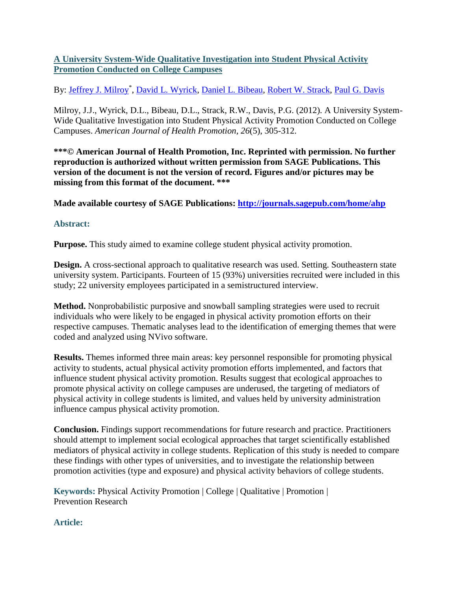### **A University System-Wide Qualitative Investigation into Student Physical Activity Promotion Conducted on College Campuses**

By: [Jeffrey J. Milroy](http://libres.uncg.edu/ir/uncg/clist.aspx?id=3837)<sup>\*</sup>, [David L. Wyrick,](http://libres.uncg.edu/ir/uncg/clist.aspx?id=1427) [Daniel L. Bibeau,](http://libres.uncg.edu/ir/uncg/clist.aspx?id=1545) [Robert W. Strack,](http://libres.uncg.edu/ir/uncg/clist.aspx?id=1422) [Paul G. Davis](http://libres.uncg.edu/ir/uncg/clist.aspx?id=1416)

Milroy, J.J., Wyrick, D.L., Bibeau, D.L., Strack, R.W., Davis, P.G. (2012). A University System-Wide Qualitative Investigation into Student Physical Activity Promotion Conducted on College Campuses. *American Journal of Health Promotion, 26*(5), 305-312.

**\*\*\*© American Journal of Health Promotion, Inc. Reprinted with permission. No further reproduction is authorized without written permission from SAGE Publications. This version of the document is not the version of record. Figures and/or pictures may be missing from this format of the document. \*\*\***

**Made available courtesy of SAGE Publications: <http://journals.sagepub.com/home/ahp>**

### **Abstract:**

**Purpose.** This study aimed to examine college student physical activity promotion.

**Design.** A cross-sectional approach to qualitative research was used. Setting. Southeastern state university system. Participants. Fourteen of 15 (93%) universities recruited were included in this study; 22 university employees participated in a semistructured interview.

**Method.** Nonprobabilistic purposive and snowball sampling strategies were used to recruit individuals who were likely to be engaged in physical activity promotion efforts on their respective campuses. Thematic analyses lead to the identification of emerging themes that were coded and analyzed using NVivo software.

**Results.** Themes informed three main areas: key personnel responsible for promoting physical activity to students, actual physical activity promotion efforts implemented, and factors that influence student physical activity promotion. Results suggest that ecological approaches to promote physical activity on college campuses are underused, the targeting of mediators of physical activity in college students is limited, and values held by university administration influence campus physical activity promotion.

**Conclusion.** Findings support recommendations for future research and practice. Practitioners should attempt to implement social ecological approaches that target scientifically established mediators of physical activity in college students. Replication of this study is needed to compare these findings with other types of universities, and to investigate the relationship between promotion activities (type and exposure) and physical activity behaviors of college students.

**Keywords:** Physical Activity Promotion | College | Qualitative | Promotion | Prevention Research

# **Article:**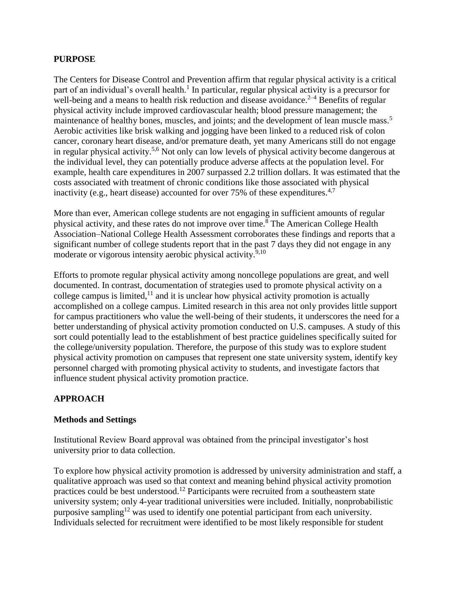#### **PURPOSE**

The Centers for Disease Control and Prevention affirm that regular physical activity is a critical part of an individual's overall health.<sup>1</sup> In particular, regular physical activity is a precursor for well-being and a means to health risk reduction and disease avoidance.<sup>2–4</sup> Benefits of regular physical activity include improved cardiovascular health; blood pressure management; the maintenance of healthy bones, muscles, and joints; and the development of lean muscle mass.<sup>5</sup> Aerobic activities like brisk walking and jogging have been linked to a reduced risk of colon cancer, coronary heart disease, and/or premature death, yet many Americans still do not engage in regular physical activity.<sup>5,6</sup> Not only can low levels of physical activity become dangerous at the individual level, they can potentially produce adverse affects at the population level. For example, health care expenditures in 2007 surpassed 2.2 trillion dollars. It was estimated that the costs associated with treatment of chronic conditions like those associated with physical inactivity (e.g., heart disease) accounted for over  $75\%$  of these expenditures.<sup>4,7</sup>

More than ever, American college students are not engaging in sufficient amounts of regular physical activity, and these rates do not improve over time.<sup>8</sup> The American College Health Association–National College Health Assessment corroborates these findings and reports that a significant number of college students report that in the past 7 days they did not engage in any moderate or vigorous intensity aerobic physical activity.<sup>9,10</sup>

Efforts to promote regular physical activity among noncollege populations are great, and well documented. In contrast, documentation of strategies used to promote physical activity on a college campus is limited, $^{11}$  and it is unclear how physical activity promotion is actually accomplished on a college campus. Limited research in this area not only provides little support for campus practitioners who value the well-being of their students, it underscores the need for a better understanding of physical activity promotion conducted on U.S. campuses. A study of this sort could potentially lead to the establishment of best practice guidelines specifically suited for the college/university population. Therefore, the purpose of this study was to explore student physical activity promotion on campuses that represent one state university system, identify key personnel charged with promoting physical activity to students, and investigate factors that influence student physical activity promotion practice.

### **APPROACH**

#### **Methods and Settings**

Institutional Review Board approval was obtained from the principal investigator's host university prior to data collection.

To explore how physical activity promotion is addressed by university administration and staff, a qualitative approach was used so that context and meaning behind physical activity promotion practices could be best understood.<sup>12</sup> Participants were recruited from a southeastern state university system; only 4-year traditional universities were included. Initially, nonprobabilistic purposive sampling<sup>12</sup> was used to identify one potential participant from each university. Individuals selected for recruitment were identified to be most likely responsible for student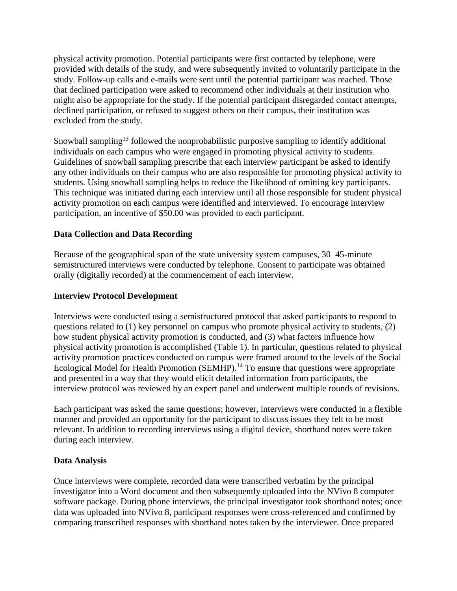physical activity promotion. Potential participants were first contacted by telephone, were provided with details of the study, and were subsequently invited to voluntarily participate in the study. Follow-up calls and e-mails were sent until the potential participant was reached. Those that declined participation were asked to recommend other individuals at their institution who might also be appropriate for the study. If the potential participant disregarded contact attempts, declined participation, or refused to suggest others on their campus, their institution was excluded from the study.

Snowball sampling<sup>13</sup> followed the nonprobabilistic purposive sampling to identify additional individuals on each campus who were engaged in promoting physical activity to students. Guidelines of snowball sampling prescribe that each interview participant be asked to identify any other individuals on their campus who are also responsible for promoting physical activity to students. Using snowball sampling helps to reduce the likelihood of omitting key participants. This technique was initiated during each interview until all those responsible for student physical activity promotion on each campus were identified and interviewed. To encourage interview participation, an incentive of \$50.00 was provided to each participant.

### **Data Collection and Data Recording**

Because of the geographical span of the state university system campuses, 30–45-minute semistructured interviews were conducted by telephone. Consent to participate was obtained orally (digitally recorded) at the commencement of each interview.

### **Interview Protocol Development**

Interviews were conducted using a semistructured protocol that asked participants to respond to questions related to (1) key personnel on campus who promote physical activity to students, (2) how student physical activity promotion is conducted, and (3) what factors influence how physical activity promotion is accomplished (Table 1). In particular, questions related to physical activity promotion practices conducted on campus were framed around to the levels of the Social Ecological Model for Health Promotion (SEMHP).<sup>14</sup> To ensure that questions were appropriate and presented in a way that they would elicit detailed information from participants, the interview protocol was reviewed by an expert panel and underwent multiple rounds of revisions.

Each participant was asked the same questions; however, interviews were conducted in a flexible manner and provided an opportunity for the participant to discuss issues they felt to be most relevant. In addition to recording interviews using a digital device, shorthand notes were taken during each interview.

### **Data Analysis**

Once interviews were complete, recorded data were transcribed verbatim by the principal investigator into a Word document and then subsequently uploaded into the NVivo 8 computer software package. During phone interviews, the principal investigator took shorthand notes; once data was uploaded into NVivo 8, participant responses were cross-referenced and confirmed by comparing transcribed responses with shorthand notes taken by the interviewer. Once prepared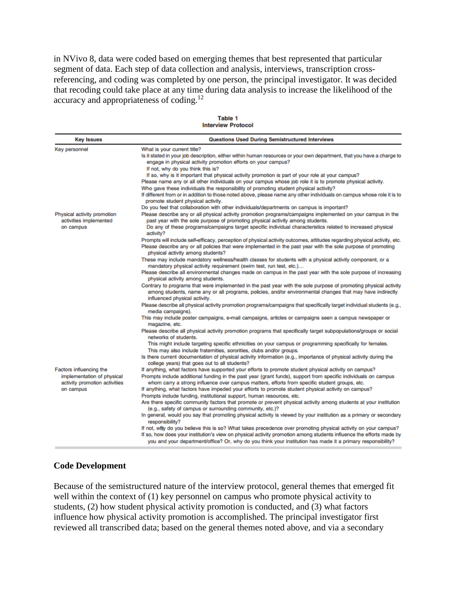in NVivo 8, data were coded based on emerging themes that best represented that particular segment of data. Each step of data collection and analysis, interviews, transcription crossreferencing, and coding was completed by one person, the principal investigator. It was decided that recoding could take place at any time during data analysis to increase the likelihood of the accuracy and appropriateness of coding.<sup>12</sup>

| <b>Key Issues</b>                                           | <b>Questions Used During Semistructured Interviews</b>                                                                                                                                                                                                         |  |  |  |
|-------------------------------------------------------------|----------------------------------------------------------------------------------------------------------------------------------------------------------------------------------------------------------------------------------------------------------------|--|--|--|
| Key personnel                                               | What is your current title?<br>Is it stated in your job description, either within human resources or your own department, that you have a charge to                                                                                                           |  |  |  |
|                                                             | engage in physical activity promotion efforts on your campus?<br>If not, why do you think this is?                                                                                                                                                             |  |  |  |
|                                                             | If so, why is it important that physical activity promotion is part of your role at your campus?                                                                                                                                                               |  |  |  |
|                                                             | Please name any or all other individuals on your campus whose job role it is to promote physical activity.                                                                                                                                                     |  |  |  |
|                                                             | Who gave these individuals the responsibility of promoting student physical activity?                                                                                                                                                                          |  |  |  |
|                                                             | If different from or in addition to those noted above, please name any other individuals on campus whose role it is to<br>promote student physical activity.                                                                                                   |  |  |  |
|                                                             | Do you feel that collaboration with other individuals/departments on campus is important?                                                                                                                                                                      |  |  |  |
| Physical activity promotion<br>activities implemented       | Please describe any or all physical activity promotion programs/campaigns implemented on your campus in the<br>past year with the sole purpose of promoting physical activity among students.                                                                  |  |  |  |
| on campus                                                   | Do any of these programs/campaigns target specific individual characteristics related to increased physical<br>activity?                                                                                                                                       |  |  |  |
|                                                             | Prompts will include self-efficacy, perception of physical activity outcomes, attitudes regarding physical activity, etc.                                                                                                                                      |  |  |  |
|                                                             | Please describe any or all policies that were implemented in the past year with the sole purpose of promoting<br>physical activity among students?                                                                                                             |  |  |  |
|                                                             | These may include mandatory wellness/health classes for students with a physical activity component, or a<br>mandatory physical activity requirement (swim test, run test, etc.)                                                                               |  |  |  |
|                                                             | Please describe all environmental changes made on campus in the past year with the sole purpose of increasing<br>physical activity among students.                                                                                                             |  |  |  |
|                                                             | Contrary to programs that were implemented in the past year with the sole purpose of promoting physical activity<br>among students, name any or all programs, policies, and/or environmental changes that may have indirectly<br>influenced physical activity. |  |  |  |
|                                                             | Please describe all physical activity promotion programs/campaigns that specifically target individual students (e.g.,<br>media campaigns).                                                                                                                    |  |  |  |
|                                                             | This may include poster campaigns, e-mail campaigns, articles or campaigns seen a campus newspaper or<br>magazine, etc.                                                                                                                                        |  |  |  |
|                                                             | Please describe all physical activity promotion programs that specifically target subpopulations/groups or social<br>networks of students.                                                                                                                     |  |  |  |
|                                                             | This might include targeting specific ethnicities on your campus or programming specifically for females.<br>This may also include fratemities, sororities, clubs and/or groups.                                                                               |  |  |  |
|                                                             | Is there current documentation of physical activity information (e.g., importance of physical activity during the<br>college years) that goes out to all students?                                                                                             |  |  |  |
| Factors influencing the                                     | If anything, what factors have supported your efforts to promote student physical activity on campus?                                                                                                                                                          |  |  |  |
| implementation of physical<br>activity promotion activities | Prompts include additional funding in the past year (grant funds), support from specific individuals on campus<br>whom carry a strong influence over campus matters, efforts from specific student groups, etc.                                                |  |  |  |
| on campus                                                   | If anything, what factors have impeded your efforts to promote student physical activity on campus?                                                                                                                                                            |  |  |  |
|                                                             | Prompts include funding, institutional support, human resources, etc.                                                                                                                                                                                          |  |  |  |
|                                                             | Are there specific community factors that promote or prevent physical activity among students at your institution                                                                                                                                              |  |  |  |
|                                                             | (e.g., safety of campus or surrounding community, etc.)?<br>In general, would you say that promoting physical activity is viewed by your institution as a primary or secondary<br>responsibility?                                                              |  |  |  |
|                                                             | If not, why do you believe this is so? What takes precedence over promoting physical activity on your campus?                                                                                                                                                  |  |  |  |
|                                                             | If so, how does your institution's view on physical activity promotion among students influence the efforts made by<br>you and your department/office? Or, why do you think your institution has made it a primary responsibility?                             |  |  |  |

Table 1 **Interview Protocol** 

#### **Code Development**

Because of the semistructured nature of the interview protocol, general themes that emerged fit well within the context of (1) key personnel on campus who promote physical activity to students, (2) how student physical activity promotion is conducted, and (3) what factors influence how physical activity promotion is accomplished. The principal investigator first reviewed all transcribed data; based on the general themes noted above, and via a secondary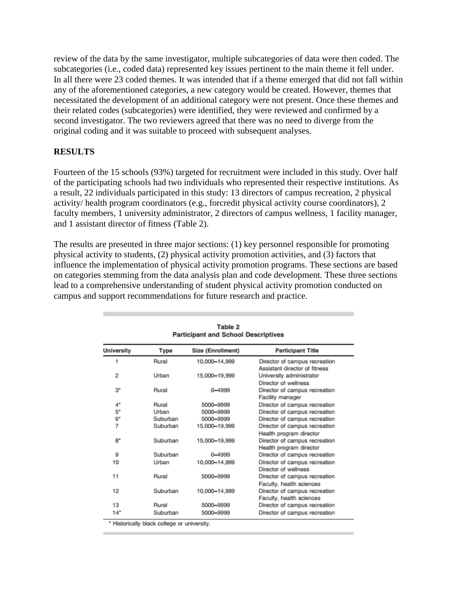review of the data by the same investigator, multiple subcategories of data were then coded. The subcategories (i.e., coded data) represented key issues pertinent to the main theme it fell under. In all there were 23 coded themes. It was intended that if a theme emerged that did not fall within any of the aforementioned categories, a new category would be created. However, themes that necessitated the development of an additional category were not present. Once these themes and their related codes (subcategories) were identified, they were reviewed and confirmed by a second investigator. The two reviewers agreed that there was no need to diverge from the original coding and it was suitable to proceed with subsequent analyses.

### **RESULTS**

Fourteen of the 15 schools (93%) targeted for recruitment were included in this study. Over half of the participating schools had two individuals who represented their respective institutions. As a result, 22 individuals participated in this study: 13 directors of campus recreation, 2 physical activity/ health program coordinators (e.g., forcredit physical activity course coordinators), 2 faculty members, 1 university administrator, 2 directors of campus wellness, 1 facility manager, and 1 assistant director of fitness (Table 2).

The results are presented in three major sections: (1) key personnel responsible for promoting physical activity to students, (2) physical activity promotion activities, and (3) factors that influence the implementation of physical activity promotion programs. These sections are based on categories stemming from the data analysis plan and code development. These three sections lead to a comprehensive understanding of student physical activity promotion conducted on campus and support recommendations for future research and practice.

| <b>University</b> | <b>Type</b> | <b>Size (Enrollment)</b> | <b>Participant Title</b>                                       |
|-------------------|-------------|--------------------------|----------------------------------------------------------------|
| 1                 | Rural       | 10.000-14.999            | Director of campus recreation<br>Assistant director of fitness |
| 2                 | Urban       | 15,000-19,999            | University administrator<br>Director of wellness               |
| $3^{\star}$       | Rural       | $0 - 4999$               | Director of campus recreation<br><b>Facility manager</b>       |
| 4*                | Rural       | 5000-9999                | Director of campus recreation                                  |
| 5*                | Urban       | 5000-9999                | Director of campus recreation                                  |
| $6*$              | Suburban    | 5000-9999                | Director of campus recreation                                  |
| 7                 | Suburban    | 15,000-19,999            | Director of campus recreation<br>Health program director       |
| 8*                | Suburban    | 15,000-19,999            | Director of campus recreation<br>Health program director       |
| 9                 | Suburban    | $0 - 4999$               | Director of campus recreation                                  |
| 10                | Urban       | 10,000-14,999            | Director of campus recreation<br>Director of wellness          |
| 11                | Rural       | 5000-9999                | Director of campus recreation<br>Faculty, health sciences      |
| 12                | Suburban    | 10,000-14,999            | Director of campus recreation<br>Faculty, health sciences      |
| 13                | Rural       | 5000-9999                | Director of campus recreation                                  |
| $14*$             | Suburban    | 5000-9999                | Director of campus recreation                                  |

Historically black college or university.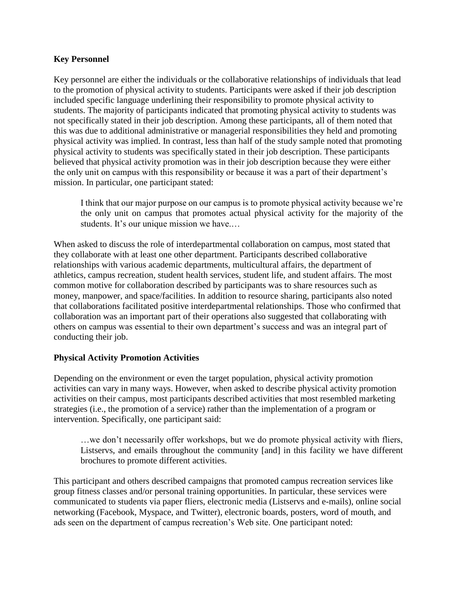### **Key Personnel**

Key personnel are either the individuals or the collaborative relationships of individuals that lead to the promotion of physical activity to students. Participants were asked if their job description included specific language underlining their responsibility to promote physical activity to students. The majority of participants indicated that promoting physical activity to students was not specifically stated in their job description. Among these participants, all of them noted that this was due to additional administrative or managerial responsibilities they held and promoting physical activity was implied. In contrast, less than half of the study sample noted that promoting physical activity to students was specifically stated in their job description. These participants believed that physical activity promotion was in their job description because they were either the only unit on campus with this responsibility or because it was a part of their department's mission. In particular, one participant stated:

I think that our major purpose on our campus is to promote physical activity because we're the only unit on campus that promotes actual physical activity for the majority of the students. It's our unique mission we have....

When asked to discuss the role of interdepartmental collaboration on campus, most stated that they collaborate with at least one other department. Participants described collaborative relationships with various academic departments, multicultural affairs, the department of athletics, campus recreation, student health services, student life, and student affairs. The most common motive for collaboration described by participants was to share resources such as money, manpower, and space/facilities. In addition to resource sharing, participants also noted that collaborations facilitated positive interdepartmental relationships. Those who confirmed that collaboration was an important part of their operations also suggested that collaborating with others on campus was essential to their own department's success and was an integral part of conducting their job.

### **Physical Activity Promotion Activities**

Depending on the environment or even the target population, physical activity promotion activities can vary in many ways. However, when asked to describe physical activity promotion activities on their campus, most participants described activities that most resembled marketing strategies (i.e., the promotion of a service) rather than the implementation of a program or intervention. Specifically, one participant said:

…we don't necessarily offer workshops, but we do promote physical activity with fliers, Listservs, and emails throughout the community [and] in this facility we have different brochures to promote different activities.

This participant and others described campaigns that promoted campus recreation services like group fitness classes and/or personal training opportunities. In particular, these services were communicated to students via paper fliers, electronic media (Listservs and e-mails), online social networking (Facebook, Myspace, and Twitter), electronic boards, posters, word of mouth, and ads seen on the department of campus recreation's Web site. One participant noted: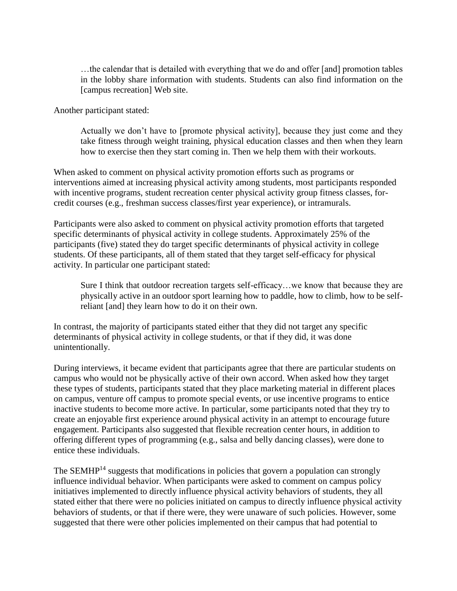…the calendar that is detailed with everything that we do and offer [and] promotion tables in the lobby share information with students. Students can also find information on the [campus recreation] Web site.

Another participant stated:

Actually we don't have to [promote physical activity], because they just come and they take fitness through weight training, physical education classes and then when they learn how to exercise then they start coming in. Then we help them with their workouts.

When asked to comment on physical activity promotion efforts such as programs or interventions aimed at increasing physical activity among students, most participants responded with incentive programs, student recreation center physical activity group fitness classes, forcredit courses (e.g., freshman success classes/first year experience), or intramurals.

Participants were also asked to comment on physical activity promotion efforts that targeted specific determinants of physical activity in college students. Approximately 25% of the participants (five) stated they do target specific determinants of physical activity in college students. Of these participants, all of them stated that they target self-efficacy for physical activity. In particular one participant stated:

Sure I think that outdoor recreation targets self-efficacy…we know that because they are physically active in an outdoor sport learning how to paddle, how to climb, how to be selfreliant [and] they learn how to do it on their own.

In contrast, the majority of participants stated either that they did not target any specific determinants of physical activity in college students, or that if they did, it was done unintentionally.

During interviews, it became evident that participants agree that there are particular students on campus who would not be physically active of their own accord. When asked how they target these types of students, participants stated that they place marketing material in different places on campus, venture off campus to promote special events, or use incentive programs to entice inactive students to become more active. In particular, some participants noted that they try to create an enjoyable first experience around physical activity in an attempt to encourage future engagement. Participants also suggested that flexible recreation center hours, in addition to offering different types of programming (e.g., salsa and belly dancing classes), were done to entice these individuals.

The SEMHP<sup>14</sup> suggests that modifications in policies that govern a population can strongly influence individual behavior. When participants were asked to comment on campus policy initiatives implemented to directly influence physical activity behaviors of students, they all stated either that there were no policies initiated on campus to directly influence physical activity behaviors of students, or that if there were, they were unaware of such policies. However, some suggested that there were other policies implemented on their campus that had potential to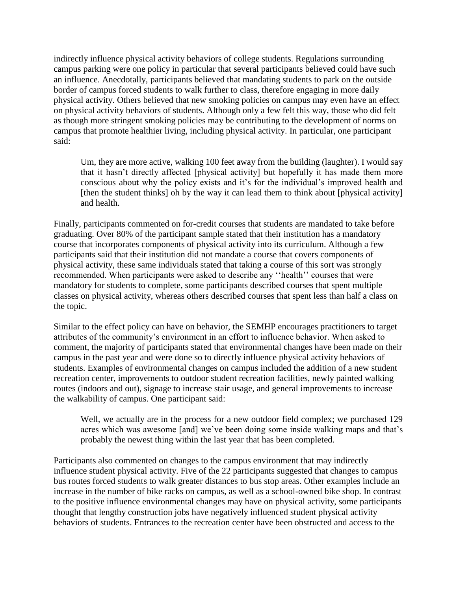indirectly influence physical activity behaviors of college students. Regulations surrounding campus parking were one policy in particular that several participants believed could have such an influence. Anecdotally, participants believed that mandating students to park on the outside border of campus forced students to walk further to class, therefore engaging in more daily physical activity. Others believed that new smoking policies on campus may even have an effect on physical activity behaviors of students. Although only a few felt this way, those who did felt as though more stringent smoking policies may be contributing to the development of norms on campus that promote healthier living, including physical activity. In particular, one participant said:

Um, they are more active, walking 100 feet away from the building (laughter). I would say that it hasn't directly affected [physical activity] but hopefully it has made them more conscious about why the policy exists and it's for the individual's improved health and [then the student thinks] oh by the way it can lead them to think about [physical activity] and health.

Finally, participants commented on for-credit courses that students are mandated to take before graduating. Over 80% of the participant sample stated that their institution has a mandatory course that incorporates components of physical activity into its curriculum. Although a few participants said that their institution did not mandate a course that covers components of physical activity, these same individuals stated that taking a course of this sort was strongly recommended. When participants were asked to describe any ''health'' courses that were mandatory for students to complete, some participants described courses that spent multiple classes on physical activity, whereas others described courses that spent less than half a class on the topic.

Similar to the effect policy can have on behavior, the SEMHP encourages practitioners to target attributes of the community's environment in an effort to influence behavior. When asked to comment, the majority of participants stated that environmental changes have been made on their campus in the past year and were done so to directly influence physical activity behaviors of students. Examples of environmental changes on campus included the addition of a new student recreation center, improvements to outdoor student recreation facilities, newly painted walking routes (indoors and out), signage to increase stair usage, and general improvements to increase the walkability of campus. One participant said:

Well, we actually are in the process for a new outdoor field complex; we purchased 129 acres which was awesome [and] we've been doing some inside walking maps and that's probably the newest thing within the last year that has been completed.

Participants also commented on changes to the campus environment that may indirectly influence student physical activity. Five of the 22 participants suggested that changes to campus bus routes forced students to walk greater distances to bus stop areas. Other examples include an increase in the number of bike racks on campus, as well as a school-owned bike shop. In contrast to the positive influence environmental changes may have on physical activity, some participants thought that lengthy construction jobs have negatively influenced student physical activity behaviors of students. Entrances to the recreation center have been obstructed and access to the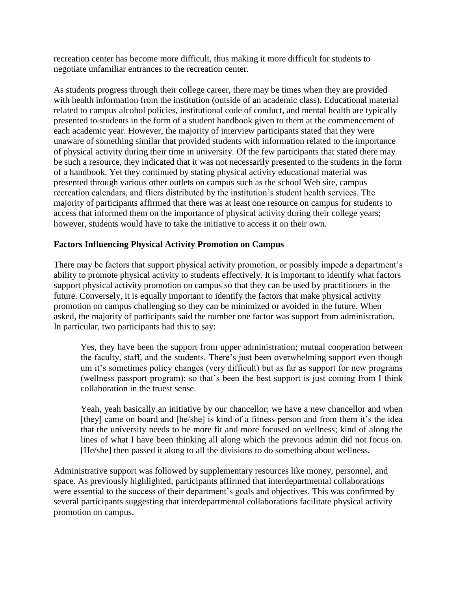recreation center has become more difficult, thus making it more difficult for students to negotiate unfamiliar entrances to the recreation center.

As students progress through their college career, there may be times when they are provided with health information from the institution (outside of an academic class). Educational material related to campus alcohol policies, institutional code of conduct, and mental health are typically presented to students in the form of a student handbook given to them at the commencement of each academic year. However, the majority of interview participants stated that they were unaware of something similar that provided students with information related to the importance of physical activity during their time in university. Of the few participants that stated there may be such a resource, they indicated that it was not necessarily presented to the students in the form of a handbook. Yet they continued by stating physical activity educational material was presented through various other outlets on campus such as the school Web site, campus recreation calendars, and fliers distributed by the institution's student health services. The majority of participants affirmed that there was at least one resource on campus for students to access that informed them on the importance of physical activity during their college years; however, students would have to take the initiative to access it on their own.

#### **Factors Influencing Physical Activity Promotion on Campus**

There may be factors that support physical activity promotion, or possibly impede a department's ability to promote physical activity to students effectively. It is important to identify what factors support physical activity promotion on campus so that they can be used by practitioners in the future. Conversely, it is equally important to identify the factors that make physical activity promotion on campus challenging so they can be minimized or avoided in the future. When asked, the majority of participants said the number one factor was support from administration. In particular, two participants had this to say:

Yes, they have been the support from upper administration; mutual cooperation between the faculty, staff, and the students. There's just been overwhelming support even though um it's sometimes policy changes (very difficult) but as far as support for new programs (wellness passport program); so that's been the best support is just coming from I think collaboration in the truest sense.

Yeah, yeah basically an initiative by our chancellor; we have a new chancellor and when [they] came on board and [he/she] is kind of a fitness person and from them it's the idea that the university needs to be more fit and more focused on wellness; kind of along the lines of what I have been thinking all along which the previous admin did not focus on. [He/she] then passed it along to all the divisions to do something about wellness.

Administrative support was followed by supplementary resources like money, personnel, and space. As previously highlighted, participants affirmed that interdepartmental collaborations were essential to the success of their department's goals and objectives. This was confirmed by several participants suggesting that interdepartmental collaborations facilitate physical activity promotion on campus.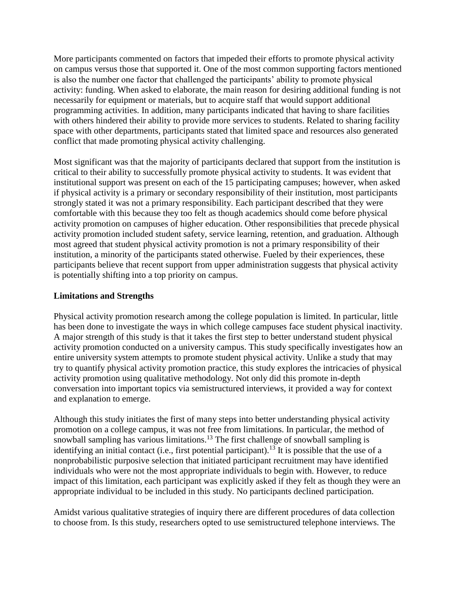More participants commented on factors that impeded their efforts to promote physical activity on campus versus those that supported it. One of the most common supporting factors mentioned is also the number one factor that challenged the participants' ability to promote physical activity: funding. When asked to elaborate, the main reason for desiring additional funding is not necessarily for equipment or materials, but to acquire staff that would support additional programming activities. In addition, many participants indicated that having to share facilities with others hindered their ability to provide more services to students. Related to sharing facility space with other departments, participants stated that limited space and resources also generated conflict that made promoting physical activity challenging.

Most significant was that the majority of participants declared that support from the institution is critical to their ability to successfully promote physical activity to students. It was evident that institutional support was present on each of the 15 participating campuses; however, when asked if physical activity is a primary or secondary responsibility of their institution, most participants strongly stated it was not a primary responsibility. Each participant described that they were comfortable with this because they too felt as though academics should come before physical activity promotion on campuses of higher education. Other responsibilities that precede physical activity promotion included student safety, service learning, retention, and graduation. Although most agreed that student physical activity promotion is not a primary responsibility of their institution, a minority of the participants stated otherwise. Fueled by their experiences, these participants believe that recent support from upper administration suggests that physical activity is potentially shifting into a top priority on campus.

### **Limitations and Strengths**

Physical activity promotion research among the college population is limited. In particular, little has been done to investigate the ways in which college campuses face student physical inactivity. A major strength of this study is that it takes the first step to better understand student physical activity promotion conducted on a university campus. This study specifically investigates how an entire university system attempts to promote student physical activity. Unlike a study that may try to quantify physical activity promotion practice, this study explores the intricacies of physical activity promotion using qualitative methodology. Not only did this promote in-depth conversation into important topics via semistructured interviews, it provided a way for context and explanation to emerge.

Although this study initiates the first of many steps into better understanding physical activity promotion on a college campus, it was not free from limitations. In particular, the method of snowball sampling has various limitations.<sup>13</sup> The first challenge of snowball sampling is identifying an initial contact (i.e., first potential participant).<sup>13</sup> It is possible that the use of a nonprobabilistic purposive selection that initiated participant recruitment may have identified individuals who were not the most appropriate individuals to begin with. However, to reduce impact of this limitation, each participant was explicitly asked if they felt as though they were an appropriate individual to be included in this study. No participants declined participation.

Amidst various qualitative strategies of inquiry there are different procedures of data collection to choose from. Is this study, researchers opted to use semistructured telephone interviews. The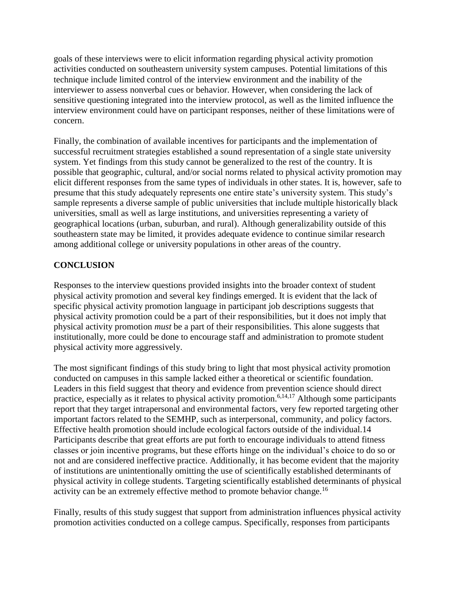goals of these interviews were to elicit information regarding physical activity promotion activities conducted on southeastern university system campuses. Potential limitations of this technique include limited control of the interview environment and the inability of the interviewer to assess nonverbal cues or behavior. However, when considering the lack of sensitive questioning integrated into the interview protocol, as well as the limited influence the interview environment could have on participant responses, neither of these limitations were of concern.

Finally, the combination of available incentives for participants and the implementation of successful recruitment strategies established a sound representation of a single state university system. Yet findings from this study cannot be generalized to the rest of the country. It is possible that geographic, cultural, and/or social norms related to physical activity promotion may elicit different responses from the same types of individuals in other states. It is, however, safe to presume that this study adequately represents one entire state's university system. This study's sample represents a diverse sample of public universities that include multiple historically black universities, small as well as large institutions, and universities representing a variety of geographical locations (urban, suburban, and rural). Although generalizability outside of this southeastern state may be limited, it provides adequate evidence to continue similar research among additional college or university populations in other areas of the country.

# **CONCLUSION**

Responses to the interview questions provided insights into the broader context of student physical activity promotion and several key findings emerged. It is evident that the lack of specific physical activity promotion language in participant job descriptions suggests that physical activity promotion could be a part of their responsibilities, but it does not imply that physical activity promotion *must* be a part of their responsibilities. This alone suggests that institutionally, more could be done to encourage staff and administration to promote student physical activity more aggressively.

The most significant findings of this study bring to light that most physical activity promotion conducted on campuses in this sample lacked either a theoretical or scientific foundation. Leaders in this field suggest that theory and evidence from prevention science should direct practice, especially as it relates to physical activity promotion.6,14,17 Although some participants report that they target intrapersonal and environmental factors, very few reported targeting other important factors related to the SEMHP, such as interpersonal, community, and policy factors. Effective health promotion should include ecological factors outside of the individual.14 Participants describe that great efforts are put forth to encourage individuals to attend fitness classes or join incentive programs, but these efforts hinge on the individual's choice to do so or not and are considered ineffective practice. Additionally, it has become evident that the majority of institutions are unintentionally omitting the use of scientifically established determinants of physical activity in college students. Targeting scientifically established determinants of physical activity can be an extremely effective method to promote behavior change.<sup>16</sup>

Finally, results of this study suggest that support from administration influences physical activity promotion activities conducted on a college campus. Specifically, responses from participants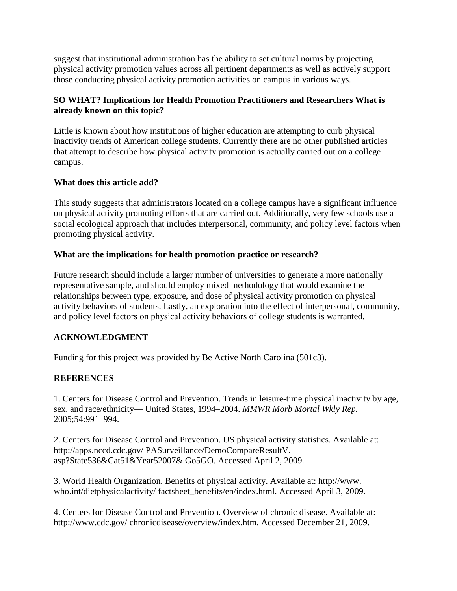suggest that institutional administration has the ability to set cultural norms by projecting physical activity promotion values across all pertinent departments as well as actively support those conducting physical activity promotion activities on campus in various ways.

## **SO WHAT? Implications for Health Promotion Practitioners and Researchers What is already known on this topic?**

Little is known about how institutions of higher education are attempting to curb physical inactivity trends of American college students. Currently there are no other published articles that attempt to describe how physical activity promotion is actually carried out on a college campus.

### **What does this article add?**

This study suggests that administrators located on a college campus have a significant influence on physical activity promoting efforts that are carried out. Additionally, very few schools use a social ecological approach that includes interpersonal, community, and policy level factors when promoting physical activity.

### **What are the implications for health promotion practice or research?**

Future research should include a larger number of universities to generate a more nationally representative sample, and should employ mixed methodology that would examine the relationships between type, exposure, and dose of physical activity promotion on physical activity behaviors of students. Lastly, an exploration into the effect of interpersonal, community, and policy level factors on physical activity behaviors of college students is warranted.

### **ACKNOWLEDGMENT**

Funding for this project was provided by Be Active North Carolina (501c3).

# **REFERENCES**

1. Centers for Disease Control and Prevention. Trends in leisure-time physical inactivity by age, sex, and race/ethnicity— United States, 1994–2004. *MMWR Morb Mortal Wkly Rep.* 2005;54:991–994.

2. Centers for Disease Control and Prevention. US physical activity statistics. Available at: http://apps.nccd.cdc.gov/ PASurveillance/DemoCompareResultV. asp?State536&Cat51&Year52007& Go5GO. Accessed April 2, 2009.

3. World Health Organization. Benefits of physical activity. Available at: http://www. who.int/dietphysicalactivity/ factsheet\_benefits/en/index.html. Accessed April 3, 2009.

4. Centers for Disease Control and Prevention. Overview of chronic disease. Available at: http://www.cdc.gov/ chronicdisease/overview/index.htm. Accessed December 21, 2009.